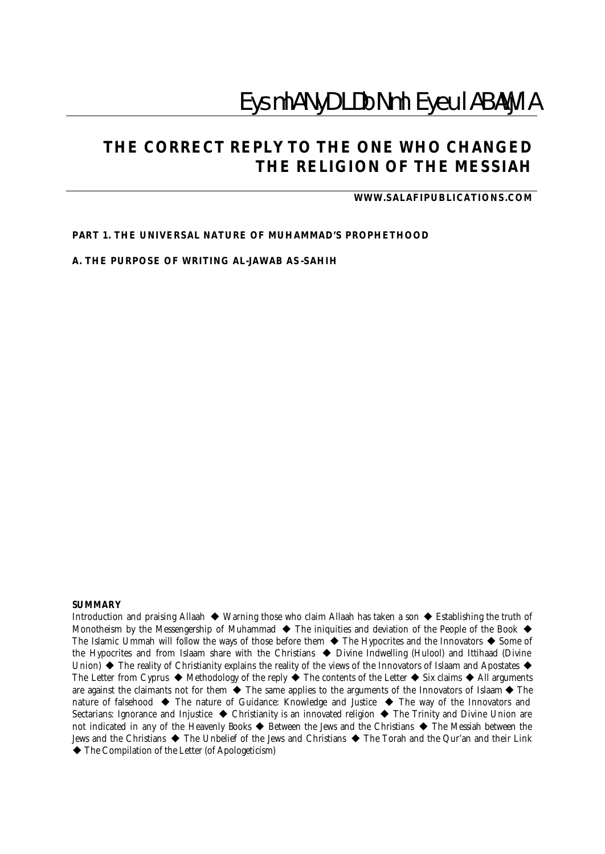# **THE CORRECT REPLY TO THE ONE WHO CHANGED THE RELIGION OF THE MESSIAH**

#### **WWW.SALAFIPUBLICATIONS.COM**

**PART 1. THE UNIVERSAL NATURE OF MUHAMMAD'S PROPHETHOOD**

**A. THE PURPOSE OF WRITING AL-JAWAB AS-SAHIH**

#### **SUMMARY**

Introduction and praising Allaah  $\blacklozenge$  Warning those who claim Allaah has taken a son  $\blacklozenge$  Establishing the truth of Monotheism by the Messengership of Muhammad  $\blacklozenge$  The iniquities and deviation of the People of the Book  $\blacklozenge$ The Islamic Ummah will follow the ways of those before them  $\blacklozenge$  The Hypocrites and the Innovators  $\blacklozenge$  Some of the Hypocrites and from Islaam share with the Christians  $\blacklozenge$  Divine Indwelling (Hulool) and Ittihaad (Divine Union)  $\blacklozenge$  The reality of Christianity explains the reality of the views of the Innovators of Islaam and Apostates  $\blacklozenge$ The Letter from Cyprus  $\blacklozenge$  Methodology of the reply  $\blacklozenge$  The contents of the Letter  $\blacklozenge$  Six claims  $\blacklozenge$  All arguments are against the claimants not for them  $\blacklozenge$  The same applies to the arguments of the Innovators of Islaam  $\blacklozenge$  The nature of falsehood  $\blacklozenge$  The nature of Guidance: Knowledge and Justice  $\blacklozenge$  The way of the Innovators and Sectarians: Ignorance and Injustice  $\blacklozenge$  Christianity is an innovated religion  $\blacklozenge$  The Trinity and Divine Union are not indicated in any of the Heavenly Books  $\blacklozenge$  Between the Jews and the Christians  $\blacklozenge$  The Messiah between the Jews and the Christians  $\blacklozenge$  The Unbelief of the Jews and Christians  $\blacklozenge$  The Torah and the Qur'an and their Link  $\blacklozenge$  The Compilation of the Letter (of Apologeticism)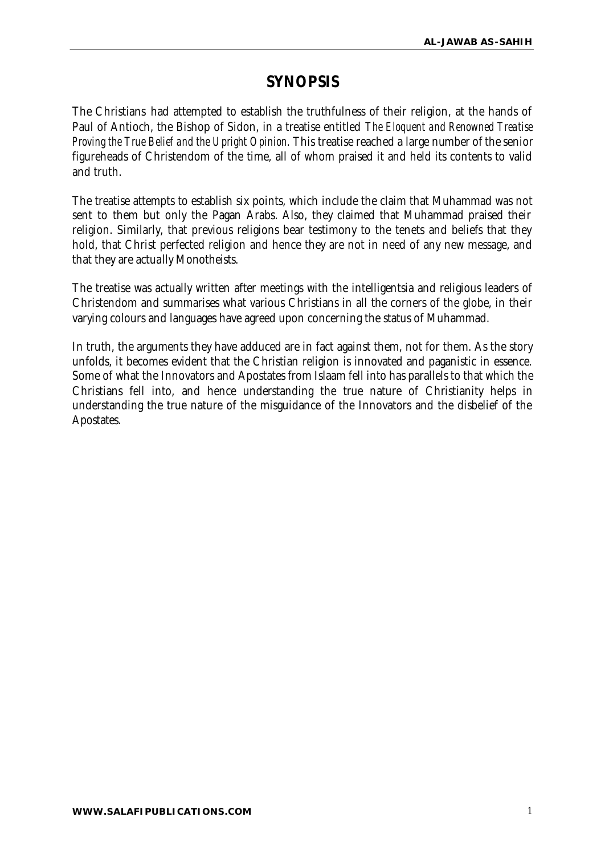# **SYNOPSIS**

The Christians had attempted to establish the truthfulness of their religion, at the hands of Paul of Antioch, the Bishop of Sidon, in a treatise entitled *The Eloquent and Renowned Treatise Proving the True Belief and the Upright Opinion.* This treatise reached a large number of the senior figureheads of Christendom of the time, all of whom praised it and held its contents to valid and truth.

The treatise attempts to establish six points, which include the claim that Muhammad was not sent to them but only the Pagan Arabs. Also, they claimed that Muhammad praised their religion. Similarly, that previous religions bear testimony to the tenets and beliefs that they hold, that Christ perfected religion and hence they are not in need of any new message, and that they are actually Monotheists.

The treatise was actually written after meetings with the intelligentsia and religious leaders of Christendom and summarises what various Christians in all the corners of the globe, in their varying colours and languages have agreed upon concerning the status of Muhammad.

In truth, the arguments they have adduced are in fact against them, not for them. As the story unfolds, it becomes evident that the Christian religion is innovated and paganistic in essence. Some of what the Innovators and Apostates from Islaam fell into has parallels to that which the Christians fell into, and hence understanding the true nature of Christianity helps in understanding the true nature of the misguidance of the Innovators and the disbelief of the Apostates.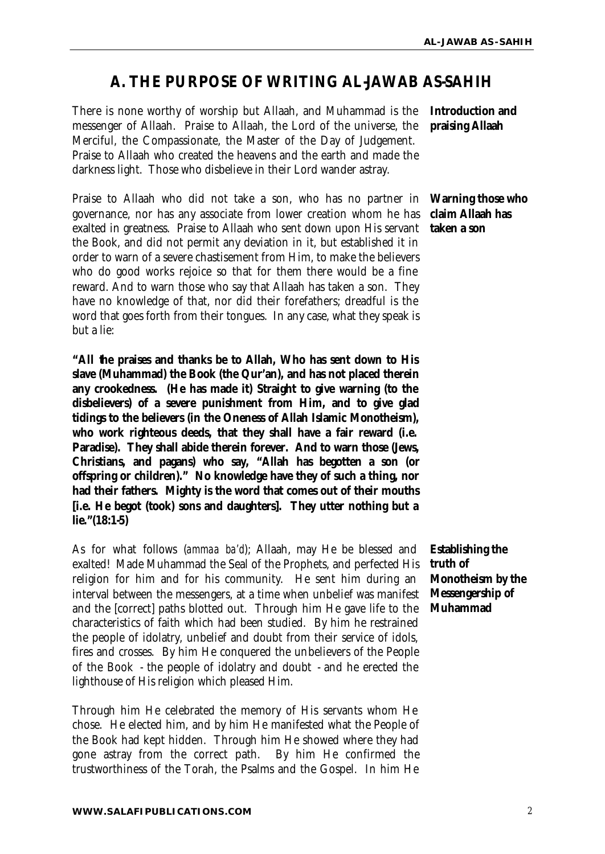# **A. THE PURPOSE OF WRITING AL-JAWAB AS-SAHIH**

There is none worthy of worship but Allaah, and Muhammad is the messenger of Allaah. Praise to Allaah, the Lord of the universe, the Merciful, the Compassionate, the Master of the Day of Judgement. Praise to Allaah who created the heavens and the earth and made the darkness light. Those who disbelieve in their Lord wander astray.

Praise to Allaah who did not take a son, who has no partner in governance, nor has any associate from lower creation whom he has exalted in greatness. Praise to Allaah who sent down upon His servant the Book, and did not permit any deviation in it, but established it in order to warn of a severe chastisement from Him, to make the believers who do good works rejoice so that for them there would be a fine reward. And to warn those who say that Allaah has taken a son. They have no knowledge of that, nor did their forefathers; dreadful is the word that goes forth from their tongues. In any case, what they speak is but a lie:

**"All the praises and thanks be to Allah, Who has sent down to His slave (Muhammad) the Book (the Qur'an), and has not placed therein any crookedness. (He has made it) Straight to give warning (to the disbelievers) of a severe punishment from Him, and to give glad tidings to the believers (in the Oneness of Allah Islamic Monotheism), who work righteous deeds, that they shall have a fair reward (i.e. Paradise). They shall abide therein forever. And to warn those (Jews, Christians, and pagans) who say, "Allah has begotten a son (or offspring or children)." No knowledge have they of such a thing, nor had their fathers. Mighty is the word that comes out of their mouths [i.e. He begot (took) sons and daughters]. They utter nothing but a lie."(18:1-5)**

As for what follows (*ammaa ba'd*); Allaah, may He be blessed and exalted! Made Muhammad the Seal of the Prophets, and perfected His religion for him and for his community. He sent him during an interval between the messengers, at a time when unbelief was manifest and the [correct] paths blotted out. Through him He gave life to the characteristics of faith which had been studied. By him he restrained the people of idolatry, unbelief and doubt from their service of idols, fires and crosses. By him He conquered the unbelievers of the People of the Book - the people of idolatry and doubt - and he erected the lighthouse of His religion which pleased Him.

Through him He celebrated the memory of His servants whom He chose. He elected him, and by him He manifested what the People of the Book had kept hidden. Through him He showed where they had gone astray from the correct path. By him He confirmed the trustworthiness of the Torah, the Psalms and the Gospel. In him He

**Introduction and praising Allaah**

## **Warning those who claim Allaah has taken a son**

**Establishing the truth of Monotheism by the Messengership of Muhammad**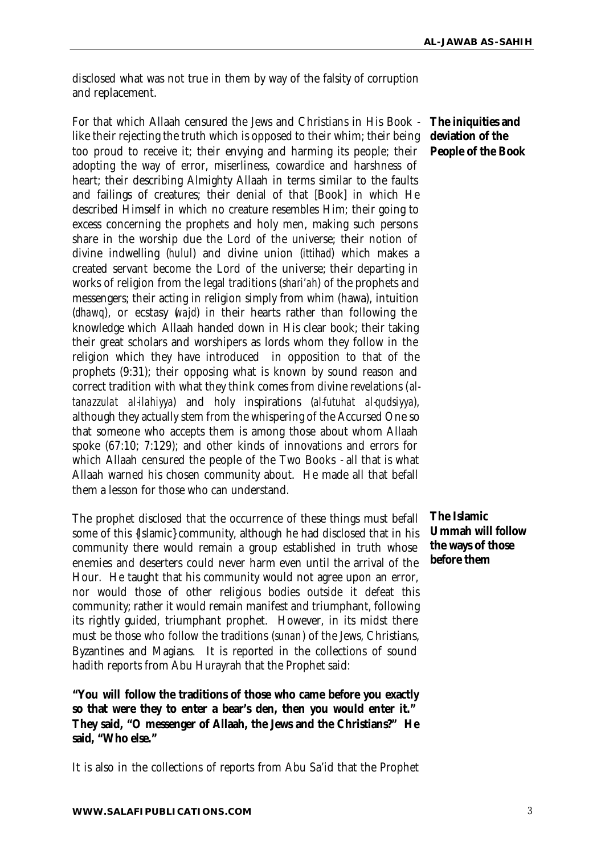disclosed what was not true in them by way of the falsity of corruption and replacement.

For that which Allaah censured the Jews and Christians in His Book like their rejecting the truth which is opposed to their whim; their being too proud to receive it; their envying and harming its people; their adopting the way of error, miserliness, cowardice and harshness of heart; their describing Almighty Allaah in terms similar to the faults and failings of creatures; their denial of that [Book] in which He described Himself in which no creature resembles Him; their going to excess concerning the prophets and holy men, making such persons share in the worship due the Lord of the universe; their notion of divine indwelling (*hulul*) and divine union (*ittihad*) which makes a created servant become the Lord of the universe; their departing in works of religion from the legal traditions (*shari'ah*) of the prophets and messengers; their acting in religion simply from whim (hawa), intuition (*dhawq*), or ecstasy (*wajd*) in their hearts rather than following the knowledge which Allaah handed down in His clear book; their taking their great scholars and worshipers as lords whom they follow in the religion which they have introduced in opposition to that of the prophets (9:31); their opposing what is known by sound reason and correct tradition with what they think comes from divine revelations (*altanazzulat al-ilahiyya*) and holy inspirations (*al-futuhat al-qudsiyya*), although they actually stem from the whispering of the Accursed One so that someone who accepts them is among those about whom Allaah spoke (67:10; 7:129); and other kinds of innovations and errors for which Allaah censured the people of the Two Books - all that is what Allaah warned his chosen community about. He made all that befall them a lesson for those who can understand.

The prophet disclosed that the occurrence of these things must befall some of this {Islamic} community, although he had disclosed that in his community there would remain a group established in truth whose enemies and deserters could never harm even until the arrival of the Hour. He taught that his community would not agree upon an error, nor would those of other religious bodies outside it defeat this community; rather it would remain manifest and triumphant, following its rightly guided, triumphant prophet. However, in its midst there must be those who follow the traditions (*sunan*) of the Jews, Christians, Byzantines and Magians. It is reported in the collections of sound hadith reports from Abu Hurayrah that the Prophet said:

**"You will follow the traditions of those who came before you exactly so that were they to enter a bear's den, then you would enter it." They said, "O messenger of Allaah, the Jews and the Christians?" He said, "Who else."** 

It is also in the collections of reports from Abu Sa'id that the Prophet

**The iniquities and deviation of the People of the Book**

**The Islamic Ummah will follow the ways of those before them**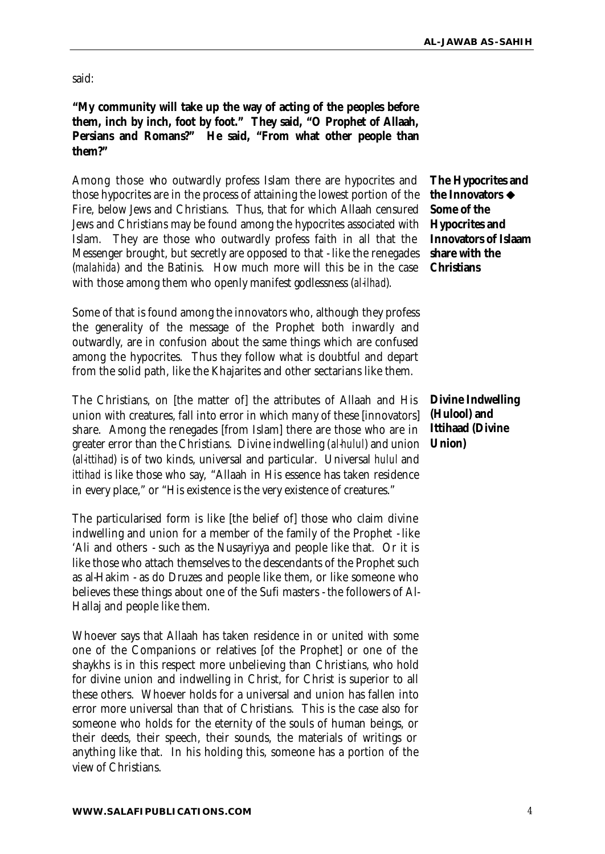said:

### **"My community will take up the way of acting of the peoples before them, inch by inch, foot by foot." They said, "O Prophet of Allaah, Persians and Romans?" He said, "From what other people than them?"**

Among those who outwardly profess Islam there are hypocrites and those hypocrites are in the process of attaining the lowest portion of the Fire, below Jews and Christians. Thus, that for which Allaah censured Jews and Christians may be found among the hypocrites associated with Islam. They are those who outwardly profess faith in all that the Messenger brought, but secretly are opposed to that - like the renegades (*malahida*) and the Batinis. How much more will this be in the case with those among them who openly manifest godlessness (*al-ilhad*).

Some of that is found among the innovators who, although they profess the generality of the message of the Prophet both inwardly and outwardly, are in confusion about the same things which are confused among the hypocrites. Thus they follow what is doubtful and depart from the solid path, like the Khajarites and other sectarians like them.

The Christians, on [the matter of] the attributes of Allaah and His union with creatures, fall into error in which many of these [innovators] share. Among the renegades [from Islam] there are those who are in greater error than the Christians. Divine indwelling (*al-hulul*) and union (*al-ittihad*) is of two kinds, universal and particular. Universal *hulul* and *ittihad* is like those who say, "Allaah in His essence has taken residence in every place," or "His existence is the very existence of creatures."

The particularised form is like [the belief of] those who claim divine indwelling and union for a member of the family of the Prophet - like 'Ali and others - such as the Nusayriyya and people like that. Or it is like those who attach themselves to the descendants of the Prophet such as al-Hakim - as do Druzes and people like them, or like someone who believes these things about one of the Sufi masters - the followers of Al-Hallaj and people like them.

Whoever says that Allaah has taken residence in or united with some one of the Companions or relatives [of the Prophet] or one of the shaykhs is in this respect more unbelieving than Christians, who hold for divine union and indwelling in Christ, for Christ is superior to all these others. Whoever holds for a universal and union has fallen into error more universal than that of Christians. This is the case also for someone who holds for the eternity of the souls of human beings, or their deeds, their speech, their sounds, the materials of writings or anything like that. In his holding this, someone has a portion of the view of Christians.

**The Hypocrites and the Innovators u Some of the Hypocrites and Innovators of Islaam share with the Christians**

**Divine Indwelling (Hulool) and Ittihaad (Divine Union)**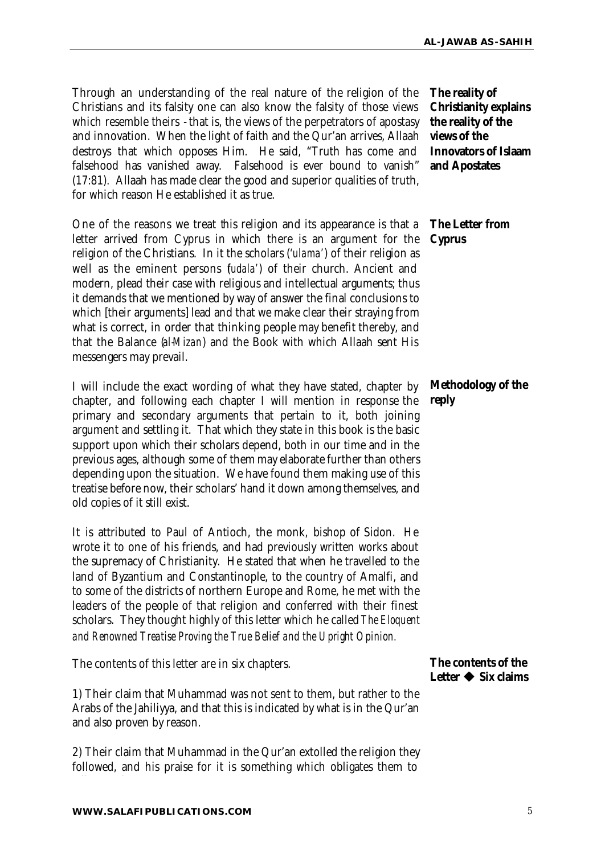Through an understanding of the real nature of the religion of the Christians and its falsity one can also know the falsity of those views which resemble theirs - that is, the views of the perpetrators of apostasy and innovation. When the light of faith and the Qur'an arrives, Allaah destroys that which opposes Him. He said, "Truth has come and falsehood has vanished away. Falsehood is ever bound to vanish" (17:81). Allaah has made clear the good and superior qualities of truth, for which reason He established it as true.

One of the reasons we treat this religion and its appearance is that a letter arrived from Cyprus in which there is an argument for the religion of the Christians. In it the scholars (*'ulama'*) of their religion as well as the eminent persons (*fudala'*) of their church. Ancient and modern, plead their case with religious and intellectual arguments; thus it demands that we mentioned by way of answer the final conclusions to which [their arguments] lead and that we make clear their straying from what is correct, in order that thinking people may benefit thereby, and that the Balance (*al-Mizan*) and the Book with which Allaah sent His messengers may prevail.

I will include the exact wording of what they have stated, chapter by chapter, and following each chapter I will mention in response the primary and secondary arguments that pertain to it, both joining argument and settling it. That which they state in this book is the basic support upon which their scholars depend, both in our time and in the previous ages, although some of them may elaborate further than others depending upon the situation. We have found them making use of this treatise before now, their scholars' hand it down among themselves, and old copies of it still exist.

It is attributed to Paul of Antioch, the monk, bishop of Sidon. He wrote it to one of his friends, and had previously written works about the supremacy of Christianity. He stated that when he travelled to the land of Byzantium and Constantinople, to the country of Amalfi, and to some of the districts of northern Europe and Rome, he met with the leaders of the people of that religion and conferred with their finest scholars. They thought highly of this letter which he called *The Eloquent and Renowned Treatise Proving the True Belief and the Upright Opinion.*

The contents of this letter are in six chapters.

1) Their claim that Muhammad was not sent to them, but rather to the Arabs of the Jahiliyya, and that this is indicated by what is in the Qur'an and also proven by reason.

2) Their claim that Muhammad in the Qur'an extolled the religion they followed, and his praise for it is something which obligates them to

**The reality of Christianity explains the reality of the views of the Innovators of Islaam and Apostates**

**The Letter from Cyprus**

#### **Methodology of the reply**

#### **The contents of the**  Letter  $\triangle$  Six claims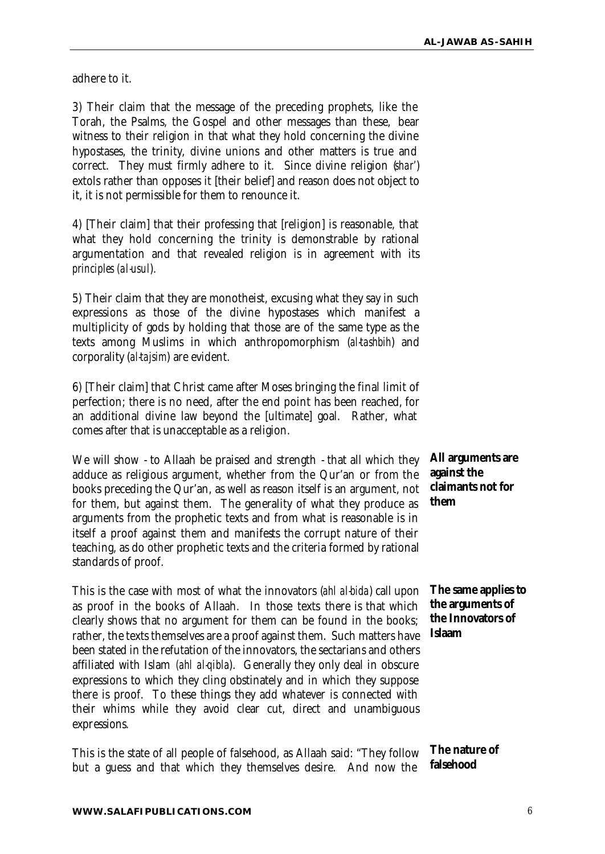adhere to it.

3) Their claim that the message of the preceding prophets, like the Torah, the Psalms, the Gospel and other messages than these, bear witness to their religion in that what they hold concerning the divine hypostases, the trinity, divine unions and other matters is true and correct. They must firmly adhere to it. Since divine religion (*shar'*) extols rather than opposes it [their belief] and reason does not object to it, it is not permissible for them to renounce it.

4) [Their claim] that their professing that [religion] is reasonable, that what they hold concerning the trinity is demonstrable by rational argumentation and that revealed religion is in agreement with its *principles (al-usul*).

5) Their claim that they are monotheist, excusing what they say in such expressions as those of the divine hypostases which manifest a multiplicity of gods by holding that those are of the same type as the texts among Muslims in which anthropomorphism (*al-tashbih*) and corporality (*al-tajsim*) are evident.

6) [Their claim] that Christ came after Moses bringing the final limit of perfection; there is no need, after the end point has been reached, for an additional divine law beyond the [ultimate] goal. Rather, what comes after that is unacceptable as a religion.

We will show - to Allaah be praised and strength - that all which they adduce as religious argument, whether from the Qur'an or from the books preceding the Qur'an, as well as reason itself is an argument, not for them, but against them. The generality of what they produce as arguments from the prophetic texts and from what is reasonable is in itself a proof against them and manifests the corrupt nature of their teaching, as do other prophetic texts and the criteria formed by rational standards of proof.

This is the case with most of what the innovators (*ahl al-bida*) call upon as proof in the books of Allaah. In those texts there is that which clearly shows that no argument for them can be found in the books; rather, the texts themselves are a proof against them. Such matters have been stated in the refutation of the innovators, the sectarians and others affiliated with Islam *(ahl al-qibla*). Generally they only deal in obscure expressions to which they cling obstinately and in which they suppose there is proof. To these things they add whatever is connected with their whims while they avoid clear cut, direct and unambiguous expressions.

This is the state of all people of falsehood, as Allaah said: "They follow but a guess and that which they themselves desire. And now the **The nature of falsehood**

## **All arguments are against the claimants not for them**

**The same applies to the arguments of the Innovators of Islaam**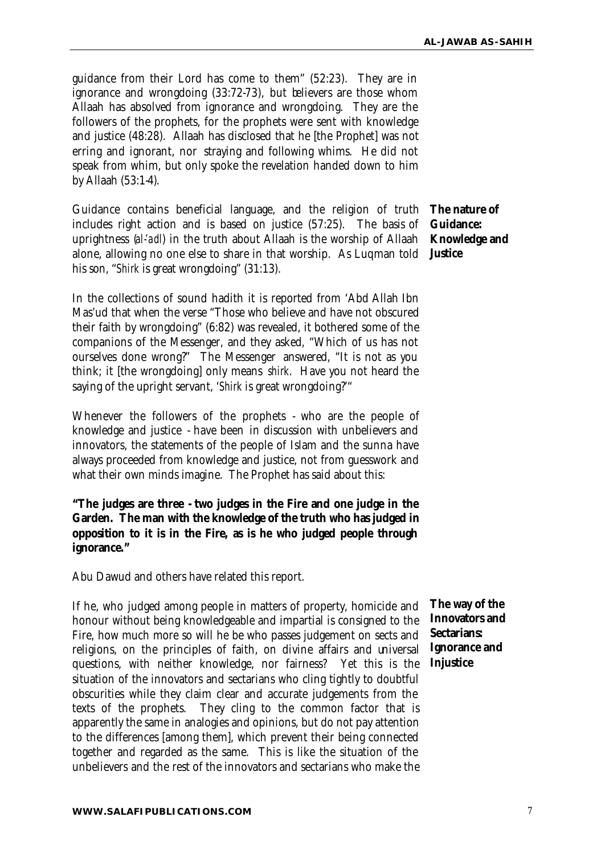guidance from their Lord has come to them" (52:23). They are in ignorance and wrongdoing (33:72-73), but believers are those whom Allaah has absolved from ignorance and wrongdoing. They are the followers of the prophets, for the prophets were sent with knowledge and justice (48:28). Allaah has disclosed that he [the Prophet] was not erring and ignorant, nor straying and following whims. He did not speak from whim, but only spoke the revelation handed down to him by Allaah (53:1-4).

Guidance contains beneficial language, and the religion of truth **The nature of**  includes right action and is based on justice (57:25). The basis of uprightness (*al-'adl*) in the truth about Allaah is the worship of Allaah alone, allowing no one else to share in that worship. As Luqman told his son, "*Shirk* is great wrongdoing" (31:13).

In the collections of sound hadith it is reported from 'Abd Allah Ibn Mas'ud that when the verse "Those who believe and have not obscured their faith by wrongdoing" (6:82) was revealed, it bothered some of the companions of the Messenger, and they asked, "Which of us has not ourselves done wrong?" The Messenger answered, "It is not as you think; it [the wrongdoing] only means *shirk*. Have you not heard the saying of the upright servant, '*Shirk* is great wrongdoing?'"

Whenever the followers of the prophets - who are the people of knowledge and justice - have been in discussion with unbelievers and innovators, the statements of the people of Islam and the sunna have always proceeded from knowledge and justice, not from guesswork and what their own minds imagine. The Prophet has said about this:

**"The judges are three - two judges in the Fire and one judge in the Garden. The man with the knowledge of the truth who has judged in opposition to it is in the Fire, as is he who judged people through ignorance."**

Abu Dawud and others have related this report.

If he, who judged among people in matters of property, homicide and honour without being knowledgeable and impartial is consigned to the Fire, how much more so will he be who passes judgement on sects and religions, on the principles of faith, on divine affairs and universal questions, with neither knowledge, nor fairness? Yet this is the situation of the innovators and sectarians who cling tightly to doubtful obscurities while they claim clear and accurate judgements from the texts of the prophets. They cling to the common factor that is apparently the same in analogies and opinions, but do not pay attention to the differences [among them], which prevent their being connected together and regarded as the same. This is like the situation of the unbelievers and the rest of the innovators and sectarians who make the

**Guidance: Knowledge and Justice**

**The way of the Innovators and Sectarians: Ignorance and Injustice**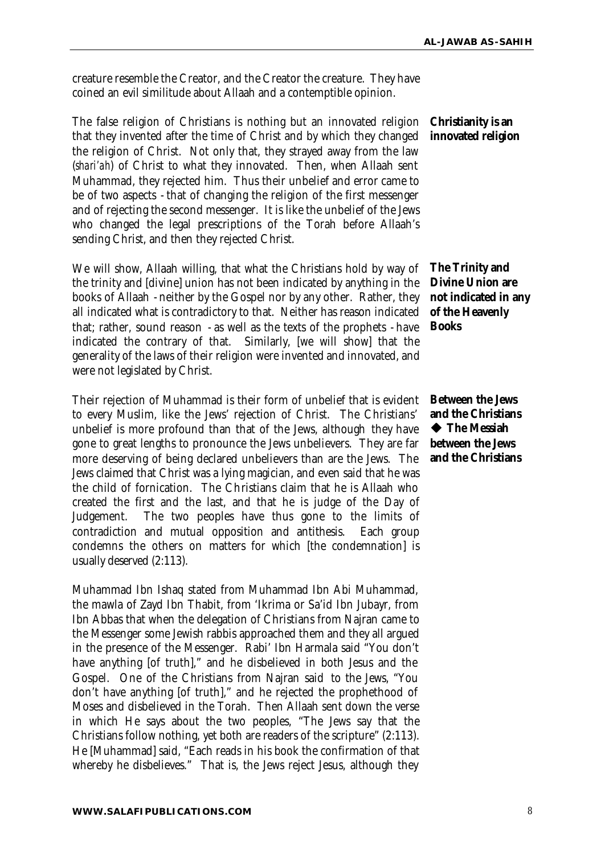creature resemble the Creator, and the Creator the creature. They have coined an evil similitude about Allaah and a contemptible opinion.

The false religion of Christians is nothing but an innovated religion that they invented after the time of Christ and by which they changed the religion of Christ. Not only that, they strayed away from the law (*shari'ah*) of Christ to what they innovated. Then, when Allaah sent Muhammad, they rejected him. Thus their unbelief and error came to be of two aspects - that of changing the religion of the first messenger and of rejecting the second messenger. It is like the unbelief of the Jews who changed the legal prescriptions of the Torah before Allaah's sending Christ, and then they rejected Christ.

We will show, Allaah willing, that what the Christians hold by way of the trinity and [divine] union has not been indicated by anything in the books of Allaah - neither by the Gospel nor by any other. Rather, they all indicated what is contradictory to that. Neither has reason indicated that; rather, sound reason - as well as the texts of the prophets - have indicated the contrary of that. Similarly, [we will show] that the generality of the laws of their religion were invented and innovated, and were not legislated by Christ.

Their rejection of Muhammad is their form of unbelief that is evident to every Muslim, like the Jews' rejection of Christ. The Christians' unbelief is more profound than that of the Jews, although they have gone to great lengths to pronounce the Jews unbelievers. They are far more deserving of being declared unbelievers than are the Jews. The Jews claimed that Christ was a lying magician, and even said that he was the child of fornication. The Christians claim that he is Allaah who created the first and the last, and that he is judge of the Day of Judgement. The two peoples have thus gone to the limits of contradiction and mutual opposition and antithesis. Each group condemns the others on matters for which [the condemnation] is usually deserved (2:113).

Muhammad Ibn Ishaq stated from Muhammad Ibn Abi Muhammad, the mawla of Zayd Ibn Thabit, from 'Ikrima or Sa'id Ibn Jubayr, from Ibn Abbas that when the delegation of Christians from Najran came to the Messenger some Jewish rabbis approached them and they all argued in the presence of the Messenger. Rabi' Ibn Harmala said "You don't have anything [of truth]," and he disbelieved in both Jesus and the Gospel. One of the Christians from Najran said to the Jews, "You don't have anything [of truth]," and he rejected the prophethood of Moses and disbelieved in the Torah. Then Allaah sent down the verse in which He says about the two peoples, "The Jews say that the Christians follow nothing, yet both are readers of the scripture" (2:113). He [Muhammad] said, "Each reads in his book the confirmation of that whereby he disbelieves." That is, the Jews reject Jesus, although they

#### **Christianity is an innovated religion**

**The Trinity and Divine Union are not indicated in any of the Heavenly Books**

**Between the Jews and the Christians**  ◆ The Messiah **between the Jews and the Christians**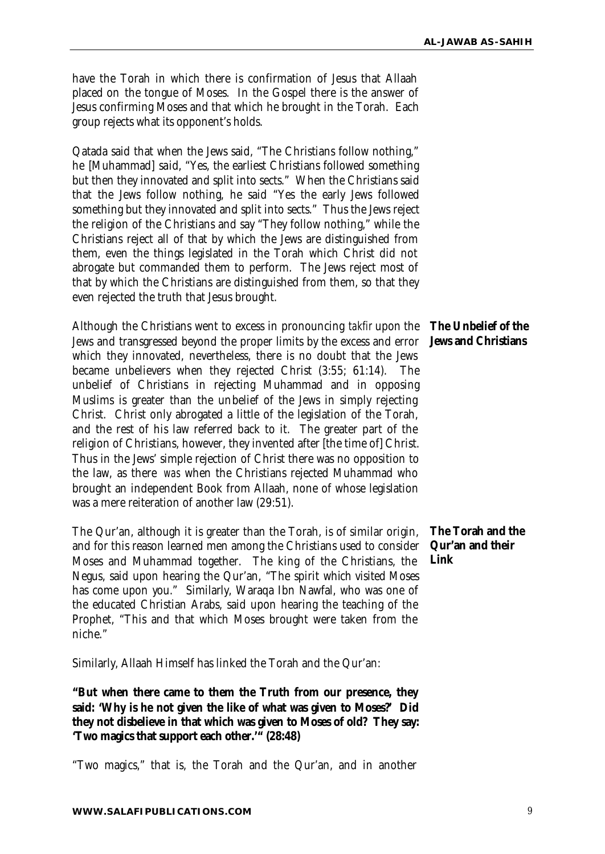have the Torah in which there is confirmation of Jesus that Allaah placed on the tongue of Moses. In the Gospel there is the answer of Jesus confirming Moses and that which he brought in the Torah. Each group rejects what its opponent's holds.

Qatada said that when the Jews said, "The Christians follow nothing," he [Muhammad] said, "Yes, the earliest Christians followed something but then they innovated and split into sects." When the Christians said that the Jews follow nothing, he said "Yes the early Jews followed something but they innovated and split into sects." Thus the Jews reject the religion of the Christians and say "They follow nothing," while the Christians reject all of that by which the Jews are distinguished from them, even the things legislated in the Torah which Christ did not abrogate but commanded them to perform. The Jews reject most of that by which the Christians are distinguished from them, so that they even rejected the truth that Jesus brought.

Although the Christians went to excess in pronouncing *takfir* upon the Jews and transgressed beyond the proper limits by the excess and error which they innovated, nevertheless, there is no doubt that the Jews became unbelievers when they rejected Christ (3:55; 61:14). The unbelief of Christians in rejecting Muhammad and in opposing Muslims is greater than the unbelief of the Jews in simply rejecting Christ. Christ only abrogated a little of the legislation of the Torah, and the rest of his law referred back to it. The greater part of the religion of Christians, however, they invented after [the time of] Christ. Thus in the Jews' simple rejection of Christ there was no opposition to the law, as there *was* when the Christians rejected Muhammad who brought an independent Book from Allaah, none of whose legislation was a mere reiteration of another law (29:51).

The Qur'an, although it is greater than the Torah, is of similar origin, and for this reason learned men among the Christians used to consider Moses and Muhammad together. The king of the Christians, the Negus, said upon hearing the Qur'an, "The spirit which visited Moses has come upon you." Similarly, Waraqa Ibn Nawfal, who was one of the educated Christian Arabs, said upon hearing the teaching of the Prophet, "This and that which Moses brought were taken from the niche."

Similarly, Allaah Himself has linked the Torah and the Qur'an:

**"But when there came to them the Truth from our presence, they said: 'Why is he not given the like of what was given to Moses?' Did they not disbelieve in that which was given to Moses of old? They say: 'Two magics that support each other.'" (28:48)**

"Two magics," that is, the Torah and the Qur'an, and in another

**The Unbelief of the Jews and Christians**

#### **The Torah and the Qur'an and their Link**